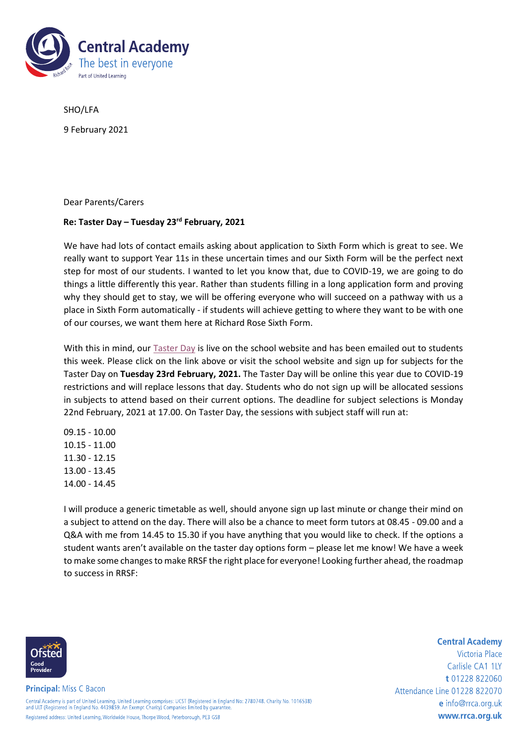

SHO/LFA

9 February 2021

Dear Parents/Carers

## **Re: Taster Day – Tuesday 23rd February, 2021**

We have had lots of contact emails asking about application to Sixth Form which is great to see. We really want to support Year 11s in these uncertain times and our Sixth Form will be the perfect next step for most of our students. I wanted to let you know that, due to COVID-19, we are going to do things a little differently this year. Rather than students filling in a long application form and proving why they should get to stay, we will be offering everyone who will succeed on a pathway with us a place in Sixth Form automatically - if students will achieve getting to where they want to be with one of our courses, we want them here at Richard Rose Sixth Form.

With this in mind, our **Taster Day** is live on the school website and has been emailed out to students this week. Please click on the link above or visit the school website and sign up for subjects for the Taster Day on **Tuesday 23rd February, 2021.** The Taster Day will be online this year due to COVID-19 restrictions and will replace lessons that day. Students who do not sign up will be allocated sessions in subjects to attend based on their current options. The deadline for subject selections is Monday 22nd February, 2021 at 17.00. On Taster Day, the sessions with subject staff will run at:

09.15 - 10.00 10.15 - 11.00 11.30 - 12.15 13.00 - 13.45 14.00 - 14.45

I will produce a generic timetable as well, should anyone sign up last minute or change their mind on a subject to attend on the day. There will also be a chance to meet form tutors at 08.45 - 09.00 and a Q&A with me from 14.45 to 15.30 if you have anything that you would like to check. If the options a student wants aren't available on the taster day options form – please let me know! We have a week to make some changes to make RRSF the right place for everyone! Looking further ahead, the roadmap to success in RRSF:



**Principal: Miss C Bacon** Central Academy is part of United Learning. United Learning comprises: UCST (Registered in England No: 2780748. Charity No. 1016538)<br>and ULT (Registered in England No. 4439859. An Exempt Charity) Companies limited by guara

Registered address: United Learning, Worldwide House, Thorpe Wood, Peterborough, PE3 GSB

Victoria Place Carlisle CA1 1IY t 01228 822060 Attendance Line 01228 822070 e info@rrca.org.uk www.rrca.org.uk

**Central Academy**